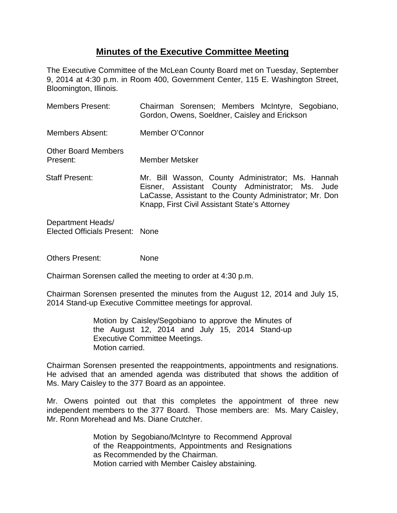# **Minutes of the Executive Committee Meeting**

The Executive Committee of the McLean County Board met on Tuesday, September 9, 2014 at 4:30 p.m. in Room 400, Government Center, 115 E. Washington Street, Bloomington, Illinois.

| <b>Members Present:</b>                | Chairman Sorensen; Members McIntyre, Segobiano,<br>Gordon, Owens, Soeldner, Caisley and Erickson                                                                                                                  |
|----------------------------------------|-------------------------------------------------------------------------------------------------------------------------------------------------------------------------------------------------------------------|
| Members Absent:                        | Member O'Connor                                                                                                                                                                                                   |
| <b>Other Board Members</b><br>Present: | <b>Member Metsker</b>                                                                                                                                                                                             |
| <b>Staff Present:</b>                  | Mr. Bill Wasson, County Administrator; Ms. Hannah<br>Eisner, Assistant County Administrator; Ms. Jude<br>LaCasse, Assistant to the County Administrator; Mr. Don<br>Knapp, First Civil Assistant State's Attorney |

Department Heads/ Elected Officials Present: None

Others Present: None

Chairman Sorensen called the meeting to order at 4:30 p.m.

Chairman Sorensen presented the minutes from the August 12, 2014 and July 15, 2014 Stand-up Executive Committee meetings for approval.

> Motion by Caisley/Segobiano to approve the Minutes of the August 12, 2014 and July 15, 2014 Stand-up Executive Committee Meetings. Motion carried.

Chairman Sorensen presented the reappointments, appointments and resignations. He advised that an amended agenda was distributed that shows the addition of Ms. Mary Caisley to the 377 Board as an appointee.

Mr. Owens pointed out that this completes the appointment of three new independent members to the 377 Board. Those members are: Ms. Mary Caisley, Mr. Ronn Morehead and Ms. Diane Crutcher.

> Motion by Segobiano/McIntyre to Recommend Approval of the Reappointments, Appointments and Resignations as Recommended by the Chairman. Motion carried with Member Caisley abstaining.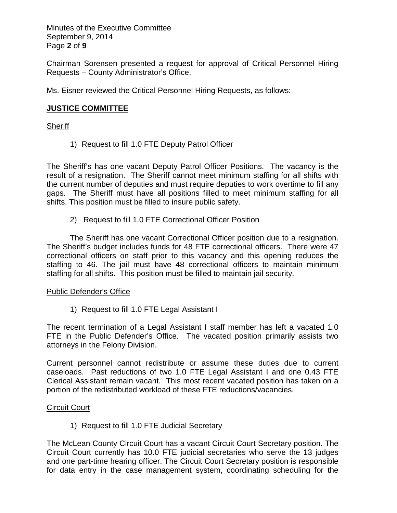Minutes of the Executive Committee September 9, 2014 Page **2** of **9**

Chairman Sorensen presented a request for approval of Critical Personnel Hiring Requests – County Administrator's Office.

Ms. Eisner reviewed the Critical Personnel Hiring Requests, as follows:

## **JUSTICE COMMITTEE**

### **Sheriff**

1) Request to fill 1.0 FTE Deputy Patrol Officer

The Sheriff's has one vacant Deputy Patrol Officer Positions. The vacancy is the result of a resignation. The Sheriff cannot meet minimum staffing for all shifts with the current number of deputies and must require deputies to work overtime to fill any gaps. The Sheriff must have all positions filled to meet minimum staffing for all shifts. This position must be filled to insure public safety.

2) Request to fill 1.0 FTE Correctional Officer Position

The Sheriff has one vacant Correctional Officer position due to a resignation. The Sheriff's budget includes funds for 48 FTE correctional officers. There were 47 correctional officers on staff prior to this vacancy and this opening reduces the staffing to 46. The jail must have 48 correctional officers to maintain minimum staffing for all shifts. This position must be filled to maintain jail security.

### Public Defender's Office

1) Request to fill 1.0 FTE Legal Assistant I

The recent termination of a Legal Assistant I staff member has left a vacated 1.0 FTE in the Public Defender's Office. The vacated position primarily assists two attorneys in the Felony Division.

Current personnel cannot redistribute or assume these duties due to current caseloads. Past reductions of two 1.0 FTE Legal Assistant I and one 0.43 FTE Clerical Assistant remain vacant. This most recent vacated position has taken on a portion of the redistributed workload of these FTE reductions/vacancies.

### **Circuit Court**

1) Request to fill 1.0 FTE Judicial Secretary

The McLean County Circuit Court has a vacant Circuit Court Secretary position. The Circuit Court currently has 10.0 FTE judicial secretaries who serve the 13 judges and one part-time hearing officer. The Circuit Court Secretary position is responsible for data entry in the case management system, coordinating scheduling for the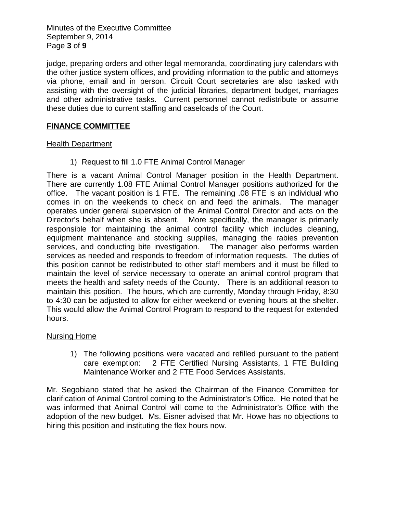Minutes of the Executive Committee September 9, 2014 Page **3** of **9**

judge, preparing orders and other legal memoranda, coordinating jury calendars with the other justice system offices, and providing information to the public and attorneys via phone, email and in person. Circuit Court secretaries are also tasked with assisting with the oversight of the judicial libraries, department budget, marriages and other administrative tasks. Current personnel cannot redistribute or assume these duties due to current staffing and caseloads of the Court.

## **FINANCE COMMITTEE**

### Health Department

1) Request to fill 1.0 FTE Animal Control Manager

There is a vacant Animal Control Manager position in the Health Department. There are currently 1.08 FTE Animal Control Manager positions authorized for the office. The vacant position is 1 FTE. The remaining .08 FTE is an individual who comes in on the weekends to check on and feed the animals. The manager operates under general supervision of the Animal Control Director and acts on the Director's behalf when she is absent. More specifically, the manager is primarily responsible for maintaining the animal control facility which includes cleaning, equipment maintenance and stocking supplies, managing the rabies prevention services, and conducting bite investigation. The manager also performs warden services as needed and responds to freedom of information requests. The duties of this position cannot be redistributed to other staff members and it must be filled to maintain the level of service necessary to operate an animal control program that meets the health and safety needs of the County. There is an additional reason to maintain this position. The hours, which are currently, Monday through Friday, 8:30 to 4:30 can be adjusted to allow for either weekend or evening hours at the shelter. This would allow the Animal Control Program to respond to the request for extended hours.

### Nursing Home

1) The following positions were vacated and refilled pursuant to the patient care exemption: 2 FTE Certified Nursing Assistants, 1 FTE Building Maintenance Worker and 2 FTE Food Services Assistants.

Mr. Segobiano stated that he asked the Chairman of the Finance Committee for clarification of Animal Control coming to the Administrator's Office. He noted that he was informed that Animal Control will come to the Administrator's Office with the adoption of the new budget. Ms. Eisner advised that Mr. Howe has no objections to hiring this position and instituting the flex hours now.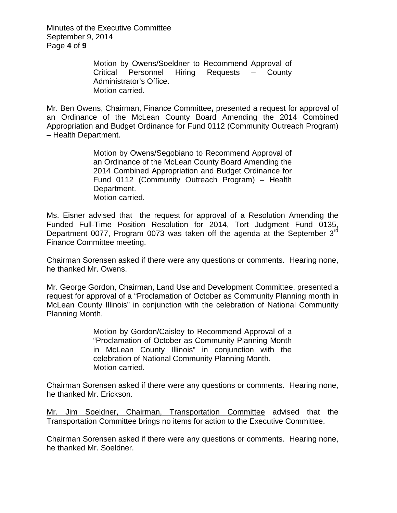Minutes of the Executive Committee September 9, 2014 Page **4** of **9**

> Motion by Owens/Soeldner to Recommend Approval of Critical Personnel Hiring Requests – County Administrator's Office. Motion carried.

Mr. Ben Owens, Chairman, Finance Committee**,** presented a request for approval of an Ordinance of the McLean County Board Amending the 2014 Combined Appropriation and Budget Ordinance for Fund 0112 (Community Outreach Program) – Health Department.

> Motion by Owens/Segobiano to Recommend Approval of an Ordinance of the McLean County Board Amending the 2014 Combined Appropriation and Budget Ordinance for Fund 0112 (Community Outreach Program) – Health Department. Motion carried.

Ms. Eisner advised that the request for approval of a Resolution Amending the Funded Full-Time Position Resolution for 2014, Tort Judgment Fund 0135, Department 0077, Program 0073 was taken off the agenda at the September 3<sup>rd</sup> Finance Committee meeting.

Chairman Sorensen asked if there were any questions or comments. Hearing none, he thanked Mr. Owens.

Mr. George Gordon, Chairman, Land Use and Development Committee, presented a request for approval of a "Proclamation of October as Community Planning month in McLean County Illinois" in conjunction with the celebration of National Community Planning Month.

> Motion by Gordon/Caisley to Recommend Approval of a "Proclamation of October as Community Planning Month in McLean County Illinois" in conjunction with the celebration of National Community Planning Month. Motion carried.

Chairman Sorensen asked if there were any questions or comments. Hearing none, he thanked Mr. Erickson.

Mr. Jim Soeldner, Chairman, Transportation Committee advised that the Transportation Committee brings no items for action to the Executive Committee.

Chairman Sorensen asked if there were any questions or comments. Hearing none, he thanked Mr. Soeldner.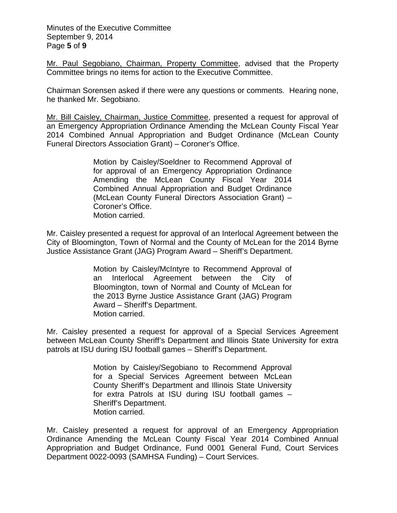Minutes of the Executive Committee September 9, 2014 Page **5** of **9**

Mr. Paul Segobiano, Chairman, Property Committee, advised that the Property Committee brings no items for action to the Executive Committee.

Chairman Sorensen asked if there were any questions or comments. Hearing none, he thanked Mr. Segobiano.

Mr. Bill Caisley, Chairman, Justice Committee, presented a request for approval of an Emergency Appropriation Ordinance Amending the McLean County Fiscal Year 2014 Combined Annual Appropriation and Budget Ordinance (McLean County Funeral Directors Association Grant) – Coroner's Office.

> Motion by Caisley/Soeldner to Recommend Approval of for approval of an Emergency Appropriation Ordinance Amending the McLean County Fiscal Year 2014 Combined Annual Appropriation and Budget Ordinance (McLean County Funeral Directors Association Grant) – Coroner's Office. Motion carried.

Mr. Caisley presented a request for approval of an Interlocal Agreement between the City of Bloomington, Town of Normal and the County of McLean for the 2014 Byrne Justice Assistance Grant (JAG) Program Award – Sheriff's Department.

> Motion by Caisley/McIntyre to Recommend Approval of an Interlocal Agreement between the City of Bloomington, town of Normal and County of McLean for the 2013 Byrne Justice Assistance Grant (JAG) Program Award – Sheriff's Department. Motion carried.

Mr. Caisley presented a request for approval of a Special Services Agreement between McLean County Sheriff's Department and Illinois State University for extra patrols at ISU during ISU football games – Sheriff's Department.

> Motion by Caisley/Segobiano to Recommend Approval for a Special Services Agreement between McLean County Sheriff's Department and Illinois State University for extra Patrols at ISU during ISU football games – Sheriff's Department. Motion carried.

Mr. Caisley presented a request for approval of an Emergency Appropriation Ordinance Amending the McLean County Fiscal Year 2014 Combined Annual Appropriation and Budget Ordinance, Fund 0001 General Fund, Court Services Department 0022-0093 (SAMHSA Funding) – Court Services.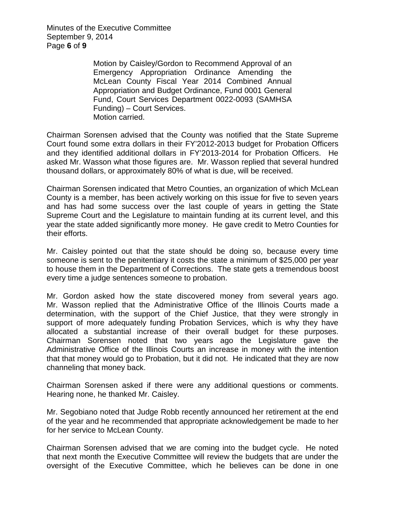Minutes of the Executive Committee September 9, 2014 Page **6** of **9**

> Motion by Caisley/Gordon to Recommend Approval of an Emergency Appropriation Ordinance Amending the McLean County Fiscal Year 2014 Combined Annual Appropriation and Budget Ordinance, Fund 0001 General Fund, Court Services Department 0022-0093 (SAMHSA Funding) – Court Services. Motion carried.

Chairman Sorensen advised that the County was notified that the State Supreme Court found some extra dollars in their FY'2012-2013 budget for Probation Officers and they identified additional dollars in FY'2013-2014 for Probation Officers. He asked Mr. Wasson what those figures are. Mr. Wasson replied that several hundred thousand dollars, or approximately 80% of what is due, will be received.

Chairman Sorensen indicated that Metro Counties, an organization of which McLean County is a member, has been actively working on this issue for five to seven years and has had some success over the last couple of years in getting the State Supreme Court and the Legislature to maintain funding at its current level, and this year the state added significantly more money. He gave credit to Metro Counties for their efforts.

Mr. Caisley pointed out that the state should be doing so, because every time someone is sent to the penitentiary it costs the state a minimum of \$25,000 per year to house them in the Department of Corrections. The state gets a tremendous boost every time a judge sentences someone to probation.

Mr. Gordon asked how the state discovered money from several years ago. Mr. Wasson replied that the Administrative Office of the Illinois Courts made a determination, with the support of the Chief Justice, that they were strongly in support of more adequately funding Probation Services, which is why they have allocated a substantial increase of their overall budget for these purposes. Chairman Sorensen noted that two years ago the Legislature gave the Administrative Office of the Illinois Courts an increase in money with the intention that that money would go to Probation, but it did not. He indicated that they are now channeling that money back.

Chairman Sorensen asked if there were any additional questions or comments. Hearing none, he thanked Mr. Caisley.

Mr. Segobiano noted that Judge Robb recently announced her retirement at the end of the year and he recommended that appropriate acknowledgement be made to her for her service to McLean County.

Chairman Sorensen advised that we are coming into the budget cycle. He noted that next month the Executive Committee will review the budgets that are under the oversight of the Executive Committee, which he believes can be done in one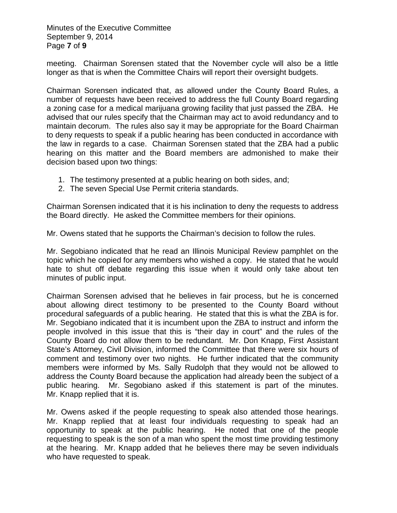Minutes of the Executive Committee September 9, 2014 Page **7** of **9**

meeting. Chairman Sorensen stated that the November cycle will also be a little longer as that is when the Committee Chairs will report their oversight budgets.

Chairman Sorensen indicated that, as allowed under the County Board Rules, a number of requests have been received to address the full County Board regarding a zoning case for a medical marijuana growing facility that just passed the ZBA. He advised that our rules specify that the Chairman may act to avoid redundancy and to maintain decorum. The rules also say it may be appropriate for the Board Chairman to deny requests to speak if a public hearing has been conducted in accordance with the law in regards to a case. Chairman Sorensen stated that the ZBA had a public hearing on this matter and the Board members are admonished to make their decision based upon two things:

- 1. The testimony presented at a public hearing on both sides, and;
- 2. The seven Special Use Permit criteria standards.

Chairman Sorensen indicated that it is his inclination to deny the requests to address the Board directly. He asked the Committee members for their opinions.

Mr. Owens stated that he supports the Chairman's decision to follow the rules.

Mr. Segobiano indicated that he read an Illinois Municipal Review pamphlet on the topic which he copied for any members who wished a copy. He stated that he would hate to shut off debate regarding this issue when it would only take about ten minutes of public input.

Chairman Sorensen advised that he believes in fair process, but he is concerned about allowing direct testimony to be presented to the County Board without procedural safeguards of a public hearing. He stated that this is what the ZBA is for. Mr. Segobiano indicated that it is incumbent upon the ZBA to instruct and inform the people involved in this issue that this is "their day in court" and the rules of the County Board do not allow them to be redundant. Mr. Don Knapp, First Assistant State's Attorney, Civil Division, informed the Committee that there were six hours of comment and testimony over two nights. He further indicated that the community members were informed by Ms. Sally Rudolph that they would not be allowed to address the County Board because the application had already been the subject of a public hearing. Mr. Segobiano asked if this statement is part of the minutes. Mr. Knapp replied that it is.

Mr. Owens asked if the people requesting to speak also attended those hearings. Mr. Knapp replied that at least four individuals requesting to speak had an opportunity to speak at the public hearing. He noted that one of the people requesting to speak is the son of a man who spent the most time providing testimony at the hearing. Mr. Knapp added that he believes there may be seven individuals who have requested to speak.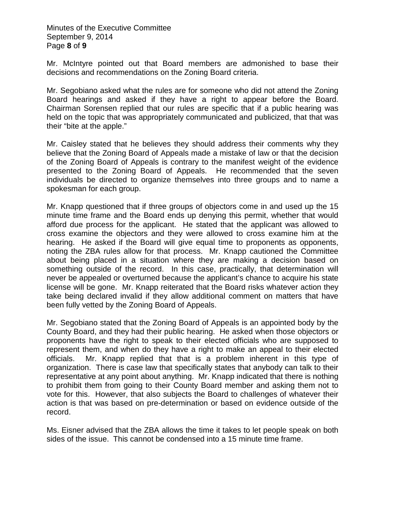Minutes of the Executive Committee September 9, 2014 Page **8** of **9**

Mr. McIntyre pointed out that Board members are admonished to base their decisions and recommendations on the Zoning Board criteria.

Mr. Segobiano asked what the rules are for someone who did not attend the Zoning Board hearings and asked if they have a right to appear before the Board. Chairman Sorensen replied that our rules are specific that if a public hearing was held on the topic that was appropriately communicated and publicized, that that was their "bite at the apple."

Mr. Caisley stated that he believes they should address their comments why they believe that the Zoning Board of Appeals made a mistake of law or that the decision of the Zoning Board of Appeals is contrary to the manifest weight of the evidence presented to the Zoning Board of Appeals. He recommended that the seven individuals be directed to organize themselves into three groups and to name a spokesman for each group.

Mr. Knapp questioned that if three groups of objectors come in and used up the 15 minute time frame and the Board ends up denying this permit, whether that would afford due process for the applicant. He stated that the applicant was allowed to cross examine the objectors and they were allowed to cross examine him at the hearing. He asked if the Board will give equal time to proponents as opponents, noting the ZBA rules allow for that process. Mr. Knapp cautioned the Committee about being placed in a situation where they are making a decision based on something outside of the record. In this case, practically, that determination will never be appealed or overturned because the applicant's chance to acquire his state license will be gone. Mr. Knapp reiterated that the Board risks whatever action they take being declared invalid if they allow additional comment on matters that have been fully vetted by the Zoning Board of Appeals.

Mr. Segobiano stated that the Zoning Board of Appeals is an appointed body by the County Board, and they had their public hearing. He asked when those objectors or proponents have the right to speak to their elected officials who are supposed to represent them, and when do they have a right to make an appeal to their elected officials. Mr. Knapp replied that that is a problem inherent in this type of organization. There is case law that specifically states that anybody can talk to their representative at any point about anything. Mr. Knapp indicated that there is nothing to prohibit them from going to their County Board member and asking them not to vote for this. However, that also subjects the Board to challenges of whatever their action is that was based on pre-determination or based on evidence outside of the record.

Ms. Eisner advised that the ZBA allows the time it takes to let people speak on both sides of the issue. This cannot be condensed into a 15 minute time frame.